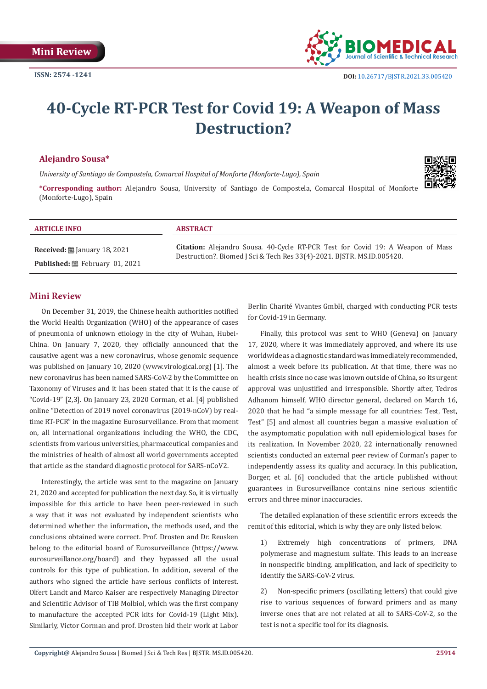

# **40-Cycle RT-PCR Test for Covid 19: A Weapon of Mass Destruction?**

## **Alejandro Sousa\***

*University of Santiago de Compostela, Comarcal Hospital of Monforte (Monforte-Lugo), Spain*

**\*Corresponding author:** Alejandro Sousa, University of Santiago de Compostela, Comarcal Hospital of Monforte (Monforte-Lugo), Spain



#### **ARTICLE INFO ABSTRACT**

**Received:** January 18, 2021 Published: **■**February 01, 2021

**Citation:** Alejandro Sousa. 40-Cycle RT-PCR Test for Covid 19: A Weapon of Mass Destruction?. Biomed J Sci & Tech Res 33(4)-2021. BJSTR. MS.ID.005420.

## **Mini Review**

On December 31, 2019, the Chinese health authorities notified the World Health Organization (WHO) of the appearance of cases of pneumonia of unknown etiology in the city of Wuhan, Hubei-China. On January 7, 2020, they officially announced that the causative agent was a new coronavirus, whose genomic sequence was published on January 10, 2020 (www.virological.org) [1]. The new coronavirus has been named SARS-CoV-2 by the Committee on Taxonomy of Viruses and it has been stated that it is the cause of "Covid-19" [2,3]. On January 23, 2020 Corman, et al. [4] published online "Detection of 2019 novel coronavirus (2019-nCoV) by realtime RT-PCR" in the magazine Eurosurveillance. From that moment on, all international organizations including the WHO, the CDC, scientists from various universities, pharmaceutical companies and the ministries of health of almost all world governments accepted that article as the standard diagnostic protocol for SARS-nCoV2.

Interestingly, the article was sent to the magazine on January 21, 2020 and accepted for publication the next day. So, it is virtually impossible for this article to have been peer-reviewed in such a way that it was not evaluated by independent scientists who determined whether the information, the methods used, and the conclusions obtained were correct. Prof. Drosten and Dr. Reusken belong to the editorial board of Eurosurveillance (https://www. eurosurveillance.org/board) and they bypassed all the usual controls for this type of publication. In addition, several of the authors who signed the article have serious conflicts of interest. Olfert Landt and Marco Kaiser are respectively Managing Director and Scientific Advisor of TIB Molbiol, which was the first company to manufacture the accepted PCR kits for Covid-19 (Light Mix). Similarly, Victor Corman and prof. Drosten hid their work at Labor Berlin Charité Vivantes GmbH, charged with conducting PCR tests for Covid-19 in Germany.

Finally, this protocol was sent to WHO (Geneva) on January 17, 2020, where it was immediately approved, and where its use worldwide as a diagnostic standard was immediately recommended, almost a week before its publication. At that time, there was no health crisis since no case was known outside of China, so its urgent approval was unjustified and irresponsible. Shortly after, Tedros Adhanom himself, WHO director general, declared on March 16, 2020 that he had "a simple message for all countries: Test, Test, Test" [5] and almost all countries began a massive evaluation of the asymptomatic population with null epidemiological bases for its realization. In November 2020, 22 internationally renowned scientists conducted an external peer review of Corman's paper to independently assess its quality and accuracy. In this publication, Borger, et al. [6] concluded that the article published without guarantees in Eurosurveillance contains nine serious scientific errors and three minor inaccuracies.

The detailed explanation of these scientific errors exceeds the remit of this editorial, which is why they are only listed below.

1) Extremely high concentrations of primers, DNA polymerase and magnesium sulfate. This leads to an increase in nonspecific binding, amplification, and lack of specificity to identify the SARS-CoV-2 virus.

2) Non-specific primers (oscillating letters) that could give rise to various sequences of forward primers and as many inverse ones that are not related at all to SARS-CoV-2, so the test is not a specific tool for its diagnosis.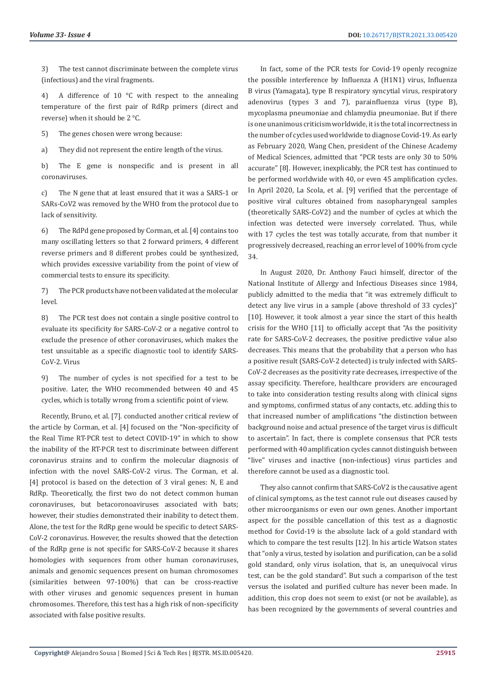3) The test cannot discriminate between the complete virus (infectious) and the viral fragments.

4) A difference of 10 °C with respect to the annealing temperature of the first pair of RdRp primers (direct and reverse) when it should be 2 °C.

5) The genes chosen were wrong because:

a) They did not represent the entire length of the virus.

b) The E gene is nonspecific and is present in all coronaviruses.

c) The N gene that at least ensured that it was a SARS-1 or SARs-CoV2 was removed by the WHO from the protocol due to lack of sensitivity.

6) The RdPd gene proposed by Corman, et al. [4] contains too many oscillating letters so that 2 forward primers, 4 different reverse primers and 8 different probes could be synthesized, which provides excessive variability from the point of view of commercial tests to ensure its specificity.

7) The PCR products have not been validated at the molecular level.

8) The PCR test does not contain a single positive control to evaluate its specificity for SARS-CoV-2 or a negative control to exclude the presence of other coronaviruses, which makes the test unsuitable as a specific diagnostic tool to identify SARS-CoV-2. Virus

9) The number of cycles is not specified for a test to be positive. Later, the WHO recommended between 40 and 45 cycles, which is totally wrong from a scientific point of view.

Recently, Bruno, et al. [7]. conducted another critical review of the article by Corman, et al. [4] focused on the "Non-specificity of the Real Time RT-PCR test to detect COVID-19" in which to show the inability of the RT-PCR test to discriminate between different coronavirus strains and to confirm the molecular diagnosis of infection with the novel SARS-CoV-2 virus. The Corman, et al. [4] protocol is based on the detection of 3 viral genes: N, E and RdRp. Theoretically, the first two do not detect common human coronaviruses, but betacoronoaviruses associated with bats; however, their studies demonstrated their inability to detect them. Alone, the test for the RdRp gene would be specific to detect SARS-CoV-2 coronavirus. However, the results showed that the detection of the RdRp gene is not specific for SARS-CoV-2 because it shares homologies with sequences from other human coronaviruses, animals and genomic sequences present on human chromosomes (similarities between 97-100%) that can be cross-reactive with other viruses and genomic sequences present in human chromosomes. Therefore, this test has a high risk of non-specificity associated with false positive results.

In fact, some of the PCR tests for Covid-19 openly recognize the possible interference by Influenza A (H1N1) virus, Influenza B virus (Yamagata), type B respiratory syncytial virus, respiratory adenovirus (types 3 and 7), parainfluenza virus (type B), mycoplasma pneumoniae and chlamydia pneumoniae. But if there is one unanimous criticism worldwide, it is the total incorrectness in the number of cycles used worldwide to diagnose Covid-19. As early as February 2020, Wang Chen, president of the Chinese Academy of Medical Sciences, admitted that "PCR tests are only 30 to 50% accurate" [8]. However, inexplicably, the PCR test has continued to be performed worldwide with 40, or even 45 amplification cycles. In April 2020, La Scola, et al. [9] verified that the percentage of positive viral cultures obtained from nasopharyngeal samples (theoretically SARS-CoV2) and the number of cycles at which the infection was detected were inversely correlated. Thus, while with 17 cycles the test was totally accurate, from that number it progressively decreased, reaching an error level of 100% from cycle 34.

In August 2020, Dr. Anthony Fauci himself, director of the National Institute of Allergy and Infectious Diseases since 1984, publicly admitted to the media that "it was extremely difficult to detect any live virus in a sample (above threshold of 33 cycles)" [10]. However, it took almost a year since the start of this health crisis for the WHO [11] to officially accept that "As the positivity rate for SARS-CoV-2 decreases, the positive predictive value also decreases. This means that the probability that a person who has a positive result (SARS-CoV-2 detected) is truly infected with SARS-CoV-2 decreases as the positivity rate decreases, irrespective of the assay specificity. Therefore, healthcare providers are encouraged to take into consideration testing results along with clinical signs and symptoms, confirmed status of any contacts, etc. adding this to that increased number of amplifications "the distinction between background noise and actual presence of the target virus is difficult to ascertain". In fact, there is complete consensus that PCR tests performed with 40 amplification cycles cannot distinguish between "live" viruses and inactive (non-infectious) virus particles and therefore cannot be used as a diagnostic tool.

They also cannot confirm that SARS-CoV2 is the causative agent of clinical symptoms, as the test cannot rule out diseases caused by other microorganisms or even our own genes. Another important aspect for the possible cancellation of this test as a diagnostic method for Covid-19 is the absolute lack of a gold standard with which to compare the test results [12]. In his article Watson states that "only a virus, tested by isolation and purification, can be a solid gold standard, only virus isolation, that is, an unequivocal virus test, can be the gold standard". But such a comparison of the test versus the isolated and purified culture has never been made. In addition, this crop does not seem to exist (or not be available), as has been recognized by the governments of several countries and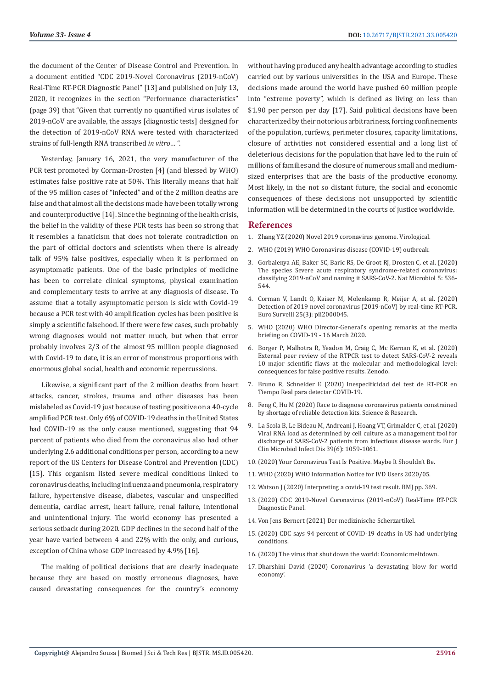the document of the Center of Disease Control and Prevention. In a document entitled "CDC 2019-Novel Coronavirus (2019-nCoV) Real-Time RT-PCR Diagnostic Panel" [13] and published on July 13, 2020, it recognizes in the section "Performance characteristics" (page 39) that "Given that currently no quantified virus isolates of 2019-nCoV are available, the assays [diagnostic tests] designed for the detection of 2019-nCoV RNA were tested with characterized strains of full-length RNA transcribed *in vitro*… ".

Yesterday, January 16, 2021, the very manufacturer of the PCR test promoted by Corman-Drosten [4] (and blessed by WHO) estimates false positive rate at 50%. This literally means that half of the 95 million cases of "infected" and of the 2 million deaths are false and that almost all the decisions made have been totally wrong and counterproductive [14]. Since the beginning of the health crisis, the belief in the validity of these PCR tests has been so strong that it resembles a fanaticism that does not tolerate contradiction on the part of official doctors and scientists when there is already talk of 95% false positives, especially when it is performed on asymptomatic patients. One of the basic principles of medicine has been to correlate clinical symptoms, physical examination and complementary tests to arrive at any diagnosis of disease. To assume that a totally asymptomatic person is sick with Covid-19 because a PCR test with 40 amplification cycles has been positive is simply a scientific falsehood. If there were few cases, such probably wrong diagnoses would not matter much, but when that error probably involves 2/3 of the almost 95 million people diagnosed with Covid-19 to date, it is an error of monstrous proportions with enormous global social, health and economic repercussions.

Likewise, a significant part of the 2 million deaths from heart attacks, cancer, strokes, trauma and other diseases has been mislabeled as Covid-19 just because of testing positive on a 40-cycle amplified PCR test. Only 6% of COVID-19 deaths in the United States had COVID-19 as the only cause mentioned, suggesting that 94 percent of patients who died from the coronavirus also had other underlying 2.6 additional conditions per person, according to a new report of the US Centers for Disease Control and Prevention (CDC) [15]. This organism listed severe medical conditions linked to coronavirus deaths, including influenza and pneumonia, respiratory failure, hypertensive disease, diabetes, vascular and unspecified dementia, cardiac arrest, heart failure, renal failure, intentional and unintentional injury. The world economy has presented a serious setback during 2020. GDP declines in the second half of the year have varied between 4 and 22% with the only, and curious, exception of China whose GDP increased by 4.9% [16].

The making of political decisions that are clearly inadequate because they are based on mostly erroneous diagnoses, have caused devastating consequences for the country's economy

without having produced any health advantage according to studies carried out by various universities in the USA and Europe. These decisions made around the world have pushed 60 million people into "extreme poverty", which is defined as living on less than \$1.90 per person per day [17]. Said political decisions have been characterized by their notorious arbitrariness, forcing confinements of the population, curfews, perimeter closures, capacity limitations, closure of activities not considered essential and a long list of deleterious decisions for the population that have led to the ruin of millions of families and the closure of numerous small and mediumsized enterprises that are the basis of the productive economy. Most likely, in the not so distant future, the social and economic consequences of these decisions not unsupported by scientific information will be determined in the courts of justice worldwide.

## **References**

- 1. [Zhang YZ \(2020\) Novel 2019 coronavirus genome. Virological.](https://virological.org/t/novel-2019-coronavirus-genome/319)
- 2. [WHO \(2019\) WHO Coronavirus disease \(COVID-19\) outbreak.](https://www.euro.who.int/en/health-topics/health-emergencies/coronavirus-covid-19)
- 3. [Gorbalenya AE, Baker SC, Baric RS, De Groot RJ, Drosten C, et al. \(2020\)](https://www.nature.com/articles/s41564-020-0695-z) [The species Severe acute respiratory syndrome-related coronavirus:](https://www.nature.com/articles/s41564-020-0695-z) [classifying 2019-nCoV and naming it SARS-CoV-2. Nat Microbiol 5: 536-](https://www.nature.com/articles/s41564-020-0695-z) [544.](https://www.nature.com/articles/s41564-020-0695-z)
- 4. [Corman V, Landt O, Kaiser M, Molenkamp R, Meijer A, et al. \(2020\)](https://www.eurosurveillance.org/content/10.2807/1560-7917.ES.2020.25.3.2000045) [Detection of 2019 novel coronavirus \(2019-nCoV\) by real-time RT-PCR.](https://www.eurosurveillance.org/content/10.2807/1560-7917.ES.2020.25.3.2000045) [Euro Surveill 25\(3\): pii2000045.](https://www.eurosurveillance.org/content/10.2807/1560-7917.ES.2020.25.3.2000045)
- 5. [WHO \(2020\) WHO Director-General's opening remarks at the media](https://www.who.int/director-general/speeches/detail/who-director-general-s-opening-remarks-at-the-media-briefing-on-covid-19---16-march-2020) [briefing on COVID-19 - 16 March 2020.](https://www.who.int/director-general/speeches/detail/who-director-general-s-opening-remarks-at-the-media-briefing-on-covid-19---16-march-2020)
- 6. Borger P, Malhotra R, Yeadon M, Craig C, Mc Kernan K, et al. (2020) External peer review of the RTPCR test to detect SARS-CoV-2 reveals 10 major scientific flaws at the molecular and methodological level: consequences for false positive results. Zenodo.
- 7. Bruno R, Schneider E (2020) Inespecificidad del test de RT-PCR en Tiempo Real para detectar COVID-19.
- 8. [Feng C, Hu M \(2020\) Race to diagnose coronavirus patients constrained](https://www.scmp.com/tech/science-research/article/3049858/race-diagnose-treat-coronavirus-patients-constrained-shortage) [by shortage of reliable detection kits. Science & Research.](https://www.scmp.com/tech/science-research/article/3049858/race-diagnose-treat-coronavirus-patients-constrained-shortage)
- 9. [La Scola B, Le Bideau M, Andreani J, Hoang VT, Grimalder C, et al. \(2020\)](https://www.ncbi.nlm.nih.gov/pmc/articles/PMC7185831/) [Viral RNA load as determined by cell culture as a management tool for](https://www.ncbi.nlm.nih.gov/pmc/articles/PMC7185831/) [discharge of SARS-CoV-2 patients from infectious disease wards. Eur J](https://www.ncbi.nlm.nih.gov/pmc/articles/PMC7185831/) [Clin Microbiol Infect Dis 39\(6\): 1059-1061.](https://www.ncbi.nlm.nih.gov/pmc/articles/PMC7185831/)
- 10.[\(2020\) Your Coronavirus Test Is Positive. Maybe It Shouldn't Be.](https://www.nytimes.com/2020/08/29/health/coronavirus-testing.html)
- 11. [WHO \(2020\) WHO Information Notice for IVD Users 2020/05.](https://www.who.int/news/item/20-01-2021-who-information-notice-for-ivd-users-2020-05)
- 12. [Watson J \(2020\) Interpreting a covid-19 test result. BMJ pp. 369.](https://www.bmj.com/content/369/bmj.m1808)
- 13.[\(2020\) CDC 2019-Novel Coronavirus \(2019-nCoV\) Real-Time RT-PCR](https://www.fda.gov/media/134922/download) [Diagnostic Panel.](https://www.fda.gov/media/134922/download)
- 14. [Von Jens Bernert \(2021\) Der medizinische Scherzartikel.](https://www.rubikon.news/artikel/der-medizinische-scherzartikel)
- 15.[\(2020\) CDC says 94 percent of COVID-19 deaths in US had underlying](https://www.globaltimes.cn/content/1199497.shtml) [conditions.](https://www.globaltimes.cn/content/1199497.shtml)
- 16.[\(2020\) The virus that shut down the world: Economic meltdown.](https://news.un.org/en/story/2020/12/1080762)
- 17. [Dharshini David \(2020\) Coronavirus 'a devastating blow for world](https://www.bbc.com/news/business-52939846) [economy'.](https://www.bbc.com/news/business-52939846)